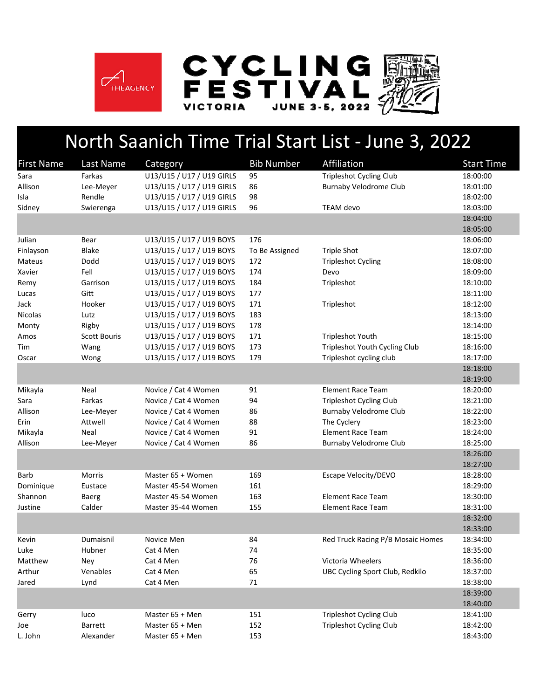

## North Saanich Time Trial Start List ‐ June 3, 2022

| <b>First Name</b> | Last Name           | Category                  | <b>Bib Number</b> | Affiliation                       | <b>Start Time</b> |
|-------------------|---------------------|---------------------------|-------------------|-----------------------------------|-------------------|
| Sara              | Farkas              | U13/U15 / U17 / U19 GIRLS | 95                | <b>Tripleshot Cycling Club</b>    | 18:00:00          |
| Allison           | Lee-Meyer           | U13/U15 / U17 / U19 GIRLS | 86                | <b>Burnaby Velodrome Club</b>     | 18:01:00          |
| Isla              | Rendle              | U13/U15 / U17 / U19 GIRLS | 98                |                                   | 18:02:00          |
| Sidney            | Swierenga           | U13/U15 / U17 / U19 GIRLS | 96                | TEAM devo                         | 18:03:00          |
|                   |                     |                           |                   |                                   | 18:04:00          |
|                   |                     |                           |                   |                                   | 18:05:00          |
| Julian            | Bear                | U13/U15 / U17 / U19 BOYS  | 176               |                                   | 18:06:00          |
| Finlayson         | Blake               | U13/U15 / U17 / U19 BOYS  | To Be Assigned    | <b>Triple Shot</b>                | 18:07:00          |
| Mateus            | Dodd                | U13/U15 / U17 / U19 BOYS  | 172               | <b>Tripleshot Cycling</b>         | 18:08:00          |
| Xavier            | Fell                | U13/U15 / U17 / U19 BOYS  | 174               | Devo                              | 18:09:00          |
| Remy              | Garrison            | U13/U15 / U17 / U19 BOYS  | 184               | Tripleshot                        | 18:10:00          |
| Lucas             | Gitt                | U13/U15 / U17 / U19 BOYS  | 177               |                                   | 18:11:00          |
| Jack              | Hooker              | U13/U15 / U17 / U19 BOYS  | 171               | Tripleshot                        | 18:12:00          |
| Nicolas           | Lutz                | U13/U15 / U17 / U19 BOYS  | 183               |                                   | 18:13:00          |
| Monty             | Rigby               | U13/U15 / U17 / U19 BOYS  | 178               |                                   | 18:14:00          |
| Amos              | <b>Scott Bouris</b> | U13/U15 / U17 / U19 BOYS  | 171               | Tripleshot Youth                  | 18:15:00          |
| Tim               | Wang                | U13/U15 / U17 / U19 BOYS  | 173               | Tripleshot Youth Cycling Club     | 18:16:00          |
| Oscar             | Wong                | U13/U15 / U17 / U19 BOYS  | 179               | Tripleshot cycling club           | 18:17:00          |
|                   |                     |                           |                   |                                   | 18:18:00          |
|                   |                     |                           |                   |                                   | 18:19:00          |
| Mikayla           | Neal                | Novice / Cat 4 Women      | 91                | <b>Element Race Team</b>          | 18:20:00          |
| Sara              | Farkas              | Novice / Cat 4 Women      | 94                | <b>Tripleshot Cycling Club</b>    | 18:21:00          |
| Allison           | Lee-Meyer           | Novice / Cat 4 Women      | 86                | <b>Burnaby Velodrome Club</b>     | 18:22:00          |
| Erin              | Attwell             | Novice / Cat 4 Women      | 88                | The Cyclery                       | 18:23:00          |
| Mikayla           | Neal                | Novice / Cat 4 Women      | 91                | <b>Element Race Team</b>          | 18:24:00          |
| Allison           | Lee-Meyer           | Novice / Cat 4 Women      | 86                | <b>Burnaby Velodrome Club</b>     | 18:25:00          |
|                   |                     |                           |                   |                                   | 18:26:00          |
|                   |                     |                           |                   |                                   | 18:27:00          |
| Barb              | Morris              | Master 65 + Women         | 169               | Escape Velocity/DEVO              | 18:28:00          |
| Dominique         | Eustace             | Master 45-54 Women        | 161               |                                   | 18:29:00          |
| Shannon           | Baerg               | Master 45-54 Women        | 163               | <b>Element Race Team</b>          | 18:30:00          |
| Justine           | Calder              | Master 35-44 Women        | 155               | <b>Element Race Team</b>          | 18:31:00          |
|                   |                     |                           |                   |                                   | 18:32:00          |
|                   |                     |                           |                   |                                   | 18:33:00          |
| Kevin             | Dumaisnil           | Novice Men                | 84                | Red Truck Racing P/B Mosaic Homes | 18:34:00          |
| Luke              | Hubner              | Cat 4 Men                 | 74                |                                   | 18:35:00          |
| Matthew           | Ney                 | Cat 4 Men                 | 76                | Victoria Wheelers                 | 18:36:00          |
| Arthur            | Venables            | Cat 4 Men                 | 65                | UBC Cycling Sport Club, Redkilo   | 18:37:00          |
| Jared             | Lynd                | Cat 4 Men                 | 71                |                                   | 18:38:00          |
|                   |                     |                           |                   |                                   | 18:39:00          |
|                   |                     |                           |                   |                                   | 18:40:00          |
| Gerry             | luco                | Master 65 + Men           | 151               | <b>Tripleshot Cycling Club</b>    | 18:41:00          |
| Joe               | Barrett             | Master 65 + Men           | 152               | <b>Tripleshot Cycling Club</b>    | 18:42:00          |
| L. John           | Alexander           | Master 65 + Men           | 153               |                                   | 18:43:00          |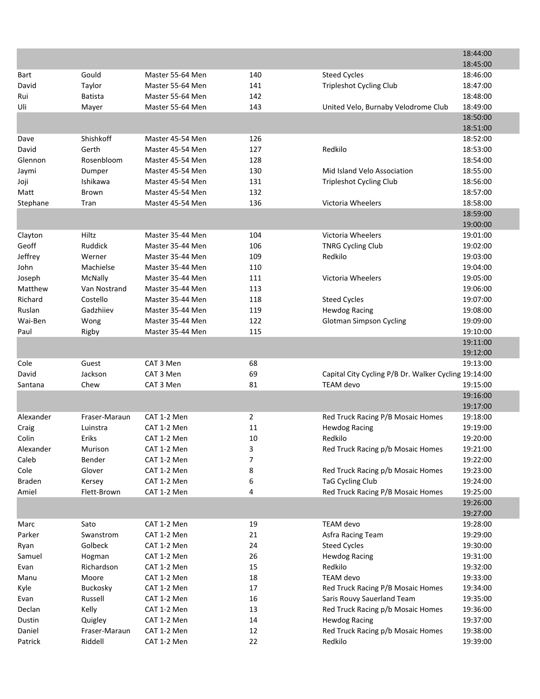|                |                       |                  |                |                                                       | 18:44:00             |
|----------------|-----------------------|------------------|----------------|-------------------------------------------------------|----------------------|
|                |                       |                  |                |                                                       | 18:45:00             |
| Bart           | Gould                 | Master 55-64 Men | 140            | <b>Steed Cycles</b>                                   | 18:46:00             |
| David          | Taylor                | Master 55-64 Men | 141            | <b>Tripleshot Cycling Club</b>                        | 18:47:00             |
| Rui            | <b>Batista</b>        | Master 55-64 Men | 142            |                                                       | 18:48:00             |
| Uli            | Mayer                 | Master 55-64 Men | 143            | United Velo, Burnaby Velodrome Club                   | 18:49:00             |
|                |                       |                  |                |                                                       | 18:50:00             |
|                |                       |                  |                |                                                       | 18:51:00             |
| Dave           | Shishkoff             | Master 45-54 Men | 126            |                                                       | 18:52:00             |
| David          | Gerth                 | Master 45-54 Men | 127            | Redkilo                                               | 18:53:00             |
| Glennon        | Rosenbloom            | Master 45-54 Men | 128            |                                                       | 18:54:00             |
| Jaymi          | Dumper                | Master 45-54 Men | 130            | Mid Island Velo Association                           | 18:55:00             |
| Joji           | Ishikawa              | Master 45-54 Men | 131            | <b>Tripleshot Cycling Club</b>                        | 18:56:00             |
| Matt           | Brown                 | Master 45-54 Men | 132            |                                                       | 18:57:00             |
| Stephane       | Tran                  | Master 45-54 Men | 136            | Victoria Wheelers                                     | 18:58:00             |
|                |                       |                  |                |                                                       | 18:59:00             |
|                |                       |                  |                |                                                       | 19:00:00             |
| Clayton        | Hiltz                 | Master 35-44 Men | 104            | Victoria Wheelers                                     | 19:01:00             |
| Geoff          | Ruddick               | Master 35-44 Men | 106            | <b>TNRG Cycling Club</b>                              | 19:02:00             |
| Jeffrey        | Werner                | Master 35-44 Men | 109            | Redkilo                                               | 19:03:00             |
| John           | Machielse             | Master 35-44 Men | 110            |                                                       | 19:04:00             |
| Joseph         | McNally               | Master 35-44 Men | 111            | Victoria Wheelers                                     | 19:05:00             |
| Matthew        | Van Nostrand          | Master 35-44 Men | 113            |                                                       | 19:06:00             |
| Richard        | Costello              | Master 35-44 Men | 118            | <b>Steed Cycles</b>                                   | 19:07:00             |
| Ruslan         | Gadzhiiev             | Master 35-44 Men | 119            | <b>Hewdog Racing</b>                                  | 19:08:00             |
| Wai-Ben        | Wong                  | Master 35-44 Men | 122            | <b>Glotman Simpson Cycling</b>                        | 19:09:00             |
| Paul           | Rigby                 | Master 35-44 Men | 115            |                                                       | 19:10:00             |
|                |                       |                  |                |                                                       | 19:11:00             |
|                |                       |                  |                |                                                       | 19:12:00             |
| Cole           | Guest                 | CAT 3 Men        | 68             |                                                       | 19:13:00             |
| David          | Jackson               | CAT 3 Men        | 69             | Capital City Cycling P/B Dr. Walker Cycling 19:14:00  |                      |
| Santana        | Chew                  | CAT 3 Men        | 81             | <b>TEAM</b> devo                                      | 19:15:00             |
|                |                       |                  |                |                                                       | 19:16:00             |
|                |                       |                  |                |                                                       | 19:17:00             |
| Alexander      | Fraser-Maraun         | CAT 1-2 Men      | $\overline{2}$ | Red Truck Racing P/B Mosaic Homes                     | 19:18:00             |
| Craig          | Luinstra              | CAT 1-2 Men      | 11             | <b>Hewdog Racing</b>                                  | 19:19:00             |
| Colin          | Eriks                 | CAT 1-2 Men      | 10             | Redkilo                                               | 19:20:00             |
| Alexander      | Murison               | CAT 1-2 Men      |                | Red Truck Racing p/b Mosaic Homes                     | 19:21:00             |
| Caleb          | Bender                | CAT 1-2 Men      | 3<br>7         |                                                       | 19:22:00             |
|                |                       | CAT 1-2 Men      |                |                                                       |                      |
| Cole<br>Braden | Glover                | CAT 1-2 Men      | 8<br>6         | Red Truck Racing p/b Mosaic Homes<br>TaG Cycling Club | 19:23:00<br>19:24:00 |
| Amiel          | Kersey<br>Flett-Brown | CAT 1-2 Men      | 4              | Red Truck Racing P/B Mosaic Homes                     |                      |
|                |                       |                  |                |                                                       | 19:25:00<br>19:26:00 |
|                |                       |                  |                |                                                       | 19:27:00             |
|                |                       | CAT 1-2 Men      |                | TEAM devo                                             |                      |
| Marc           | Sato                  |                  | 19             |                                                       | 19:28:00             |
| Parker         | Swanstrom             | CAT 1-2 Men      | 21             | Asfra Racing Team                                     | 19:29:00             |
| Ryan           | Golbeck               | CAT 1-2 Men      | 24             | <b>Steed Cycles</b>                                   | 19:30:00             |
| Samuel         | Hogman                | CAT 1-2 Men      | 26             | <b>Hewdog Racing</b>                                  | 19:31:00             |
| Evan           | Richardson            | CAT 1-2 Men      | 15             | Redkilo                                               | 19:32:00             |
| Manu           | Moore                 | CAT 1-2 Men      | 18             | TEAM devo                                             | 19:33:00             |
| Kyle           | Buckosky              | CAT 1-2 Men      | 17             | Red Truck Racing P/B Mosaic Homes                     | 19:34:00             |
| Evan           | Russell               | CAT 1-2 Men      | 16             | Saris Rouvy Sauerland Team                            | 19:35:00             |
| Declan         | Kelly                 | CAT 1-2 Men      | 13             | Red Truck Racing p/b Mosaic Homes                     | 19:36:00             |
| Dustin         | Quigley               | CAT 1-2 Men      | 14             | <b>Hewdog Racing</b>                                  | 19:37:00             |
| Daniel         | Fraser-Maraun         | CAT 1-2 Men      | 12             | Red Truck Racing p/b Mosaic Homes                     | 19:38:00             |
| Patrick        | Riddell               | CAT 1-2 Men      | 22             | Redkilo                                               | 19:39:00             |